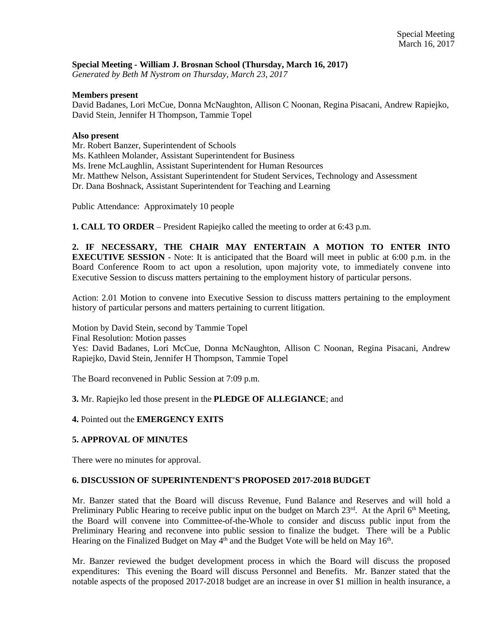### **Special Meeting - William J. Brosnan School (Thursday, March 16, 2017)**

*Generated by Beth M Nystrom on Thursday, March 23, 2017*

### **Members present**

David Badanes, Lori McCue, Donna McNaughton, Allison C Noonan, Regina Pisacani, Andrew Rapiejko, David Stein, Jennifer H Thompson, Tammie Topel

### **Also present**

Mr. Robert Banzer, Superintendent of Schools

Ms. Kathleen Molander, Assistant Superintendent for Business

Ms. Irene McLaughlin, Assistant Superintendent for Human Resources

Mr. Matthew Nelson, Assistant Superintendent for Student Services, Technology and Assessment

Dr. Dana Boshnack, Assistant Superintendent for Teaching and Learning

Public Attendance: Approximately 10 people

**1. CALL TO ORDER** – President Rapiejko called the meeting to order at 6:43 p.m.

**2. IF NECESSARY, THE CHAIR MAY ENTERTAIN A MOTION TO ENTER INTO EXECUTIVE SESSION** - Note: It is anticipated that the Board will meet in public at 6:00 p.m. in the Board Conference Room to act upon a resolution, upon majority vote, to immediately convene into Executive Session to discuss matters pertaining to the employment history of particular persons.

Action: 2.01 Motion to convene into Executive Session to discuss matters pertaining to the employment history of particular persons and matters pertaining to current litigation.

Motion by David Stein, second by Tammie Topel

Final Resolution: Motion passes

Yes: David Badanes, Lori McCue, Donna McNaughton, Allison C Noonan, Regina Pisacani, Andrew Rapiejko, David Stein, Jennifer H Thompson, Tammie Topel

The Board reconvened in Public Session at 7:09 p.m.

**3.** Mr. Rapiejko led those present in the **PLEDGE OF ALLEGIANCE**; and

# **4.** Pointed out the **EMERGENCY EXITS**

# **5. APPROVAL OF MINUTES**

There were no minutes for approval.

# **6. DISCUSSION OF SUPERINTENDENT'S PROPOSED 2017-2018 BUDGET**

Mr. Banzer stated that the Board will discuss Revenue, Fund Balance and Reserves and will hold a Preliminary Public Hearing to receive public input on the budget on March  $23<sup>rd</sup>$ . At the April 6<sup>th</sup> Meeting, the Board will convene into Committee-of-the-Whole to consider and discuss public input from the Preliminary Hearing and reconvene into public session to finalize the budget. There will be a Public Hearing on the Finalized Budget on May  $4<sup>th</sup>$  and the Budget Vote will be held on May  $16<sup>th</sup>$ .

Mr. Banzer reviewed the budget development process in which the Board will discuss the proposed expenditures: This evening the Board will discuss Personnel and Benefits. Mr. Banzer stated that the notable aspects of the proposed 2017-2018 budget are an increase in over \$1 million in health insurance, a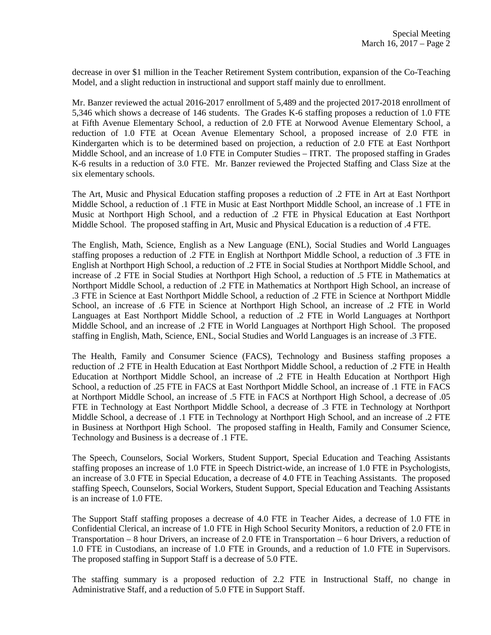decrease in over \$1 million in the Teacher Retirement System contribution, expansion of the Co-Teaching Model, and a slight reduction in instructional and support staff mainly due to enrollment.

Mr. Banzer reviewed the actual 2016-2017 enrollment of 5,489 and the projected 2017-2018 enrollment of 5,346 which shows a decrease of 146 students. The Grades K-6 staffing proposes a reduction of 1.0 FTE at Fifth Avenue Elementary School, a reduction of 2.0 FTE at Norwood Avenue Elementary School, a reduction of 1.0 FTE at Ocean Avenue Elementary School, a proposed increase of 2.0 FTE in Kindergarten which is to be determined based on projection, a reduction of 2.0 FTE at East Northport Middle School, and an increase of 1.0 FTE in Computer Studies – ITRT. The proposed staffing in Grades K-6 results in a reduction of 3.0 FTE. Mr. Banzer reviewed the Projected Staffing and Class Size at the six elementary schools.

The Art, Music and Physical Education staffing proposes a reduction of .2 FTE in Art at East Northport Middle School, a reduction of .1 FTE in Music at East Northport Middle School, an increase of .1 FTE in Music at Northport High School, and a reduction of .2 FTE in Physical Education at East Northport Middle School. The proposed staffing in Art, Music and Physical Education is a reduction of .4 FTE.

The English, Math, Science, English as a New Language (ENL), Social Studies and World Languages staffing proposes a reduction of .2 FTE in English at Northport Middle School, a reduction of .3 FTE in English at Northport High School, a reduction of .2 FTE in Social Studies at Northport Middle School, and increase of .2 FTE in Social Studies at Northport High School, a reduction of .5 FTE in Mathematics at Northport Middle School, a reduction of .2 FTE in Mathematics at Northport High School, an increase of .3 FTE in Science at East Northport Middle School, a reduction of .2 FTE in Science at Northport Middle School, an increase of .6 FTE in Science at Northport High School, an increase of .2 FTE in World Languages at East Northport Middle School, a reduction of .2 FTE in World Languages at Northport Middle School, and an increase of .2 FTE in World Languages at Northport High School. The proposed staffing in English, Math, Science, ENL, Social Studies and World Languages is an increase of .3 FTE.

The Health, Family and Consumer Science (FACS), Technology and Business staffing proposes a reduction of .2 FTE in Health Education at East Northport Middle School, a reduction of .2 FTE in Health Education at Northport Middle School, an increase of .2 FTE in Health Education at Northport High School, a reduction of .25 FTE in FACS at East Northport Middle School, an increase of .1 FTE in FACS at Northport Middle School, an increase of .5 FTE in FACS at Northport High School, a decrease of .05 FTE in Technology at East Northport Middle School, a decrease of .3 FTE in Technology at Northport Middle School, a decrease of .1 FTE in Technology at Northport High School, and an increase of .2 FTE in Business at Northport High School. The proposed staffing in Health, Family and Consumer Science, Technology and Business is a decrease of .1 FTE.

The Speech, Counselors, Social Workers, Student Support, Special Education and Teaching Assistants staffing proposes an increase of 1.0 FTE in Speech District-wide, an increase of 1.0 FTE in Psychologists, an increase of 3.0 FTE in Special Education, a decrease of 4.0 FTE in Teaching Assistants. The proposed staffing Speech, Counselors, Social Workers, Student Support, Special Education and Teaching Assistants is an increase of 1.0 FTE.

The Support Staff staffing proposes a decrease of 4.0 FTE in Teacher Aides, a decrease of 1.0 FTE in Confidential Clerical, an increase of 1.0 FTE in High School Security Monitors, a reduction of 2.0 FTE in Transportation – 8 hour Drivers, an increase of 2.0 FTE in Transportation – 6 hour Drivers, a reduction of 1.0 FTE in Custodians, an increase of 1.0 FTE in Grounds, and a reduction of 1.0 FTE in Supervisors. The proposed staffing in Support Staff is a decrease of 5.0 FTE.

The staffing summary is a proposed reduction of 2.2 FTE in Instructional Staff, no change in Administrative Staff, and a reduction of 5.0 FTE in Support Staff.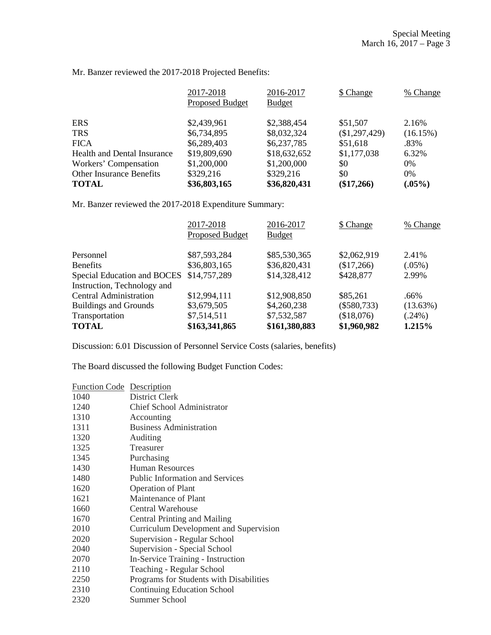Mr. Banzer reviewed the 2017-2018 Projected Benefits:

|                                    | 2017-2018       | 2016-2017     | \$ Change       | % Change  |
|------------------------------------|-----------------|---------------|-----------------|-----------|
|                                    | Proposed Budget | <b>Budget</b> |                 |           |
| <b>ERS</b>                         | \$2,439,961     | \$2,388,454   | \$51,507        | 2.16%     |
| <b>TRS</b>                         | \$6,734,895     | \$8,032,324   | $(\$1,297,429)$ | (16.15%)  |
| <b>FICA</b>                        | \$6,289,403     | \$6,237,785   | \$51,618        | .83%      |
| <b>Health and Dental Insurance</b> | \$19,809,690    | \$18,632,652  | \$1,177,038     | 6.32%     |
| Workers' Compensation              | \$1,200,000     | \$1,200,000   | \$0             | $0\%$     |
| <b>Other Insurance Benefits</b>    | \$329,216       | \$329,216     | \$0             | $0\%$     |
| <b>TOTAL</b>                       | \$36,803,165    | \$36,820,431  | $(\$17,266)$    | $(.05\%)$ |

Mr. Banzer reviewed the 2017-2018 Expenditure Summary:

|                               | 2017-2018       | 2016-2017     | \$ Change     | % Change  |
|-------------------------------|-----------------|---------------|---------------|-----------|
|                               | Proposed Budget | <b>Budget</b> |               |           |
| Personnel                     | \$87,593,284    | \$85,530,365  | \$2,062,919   | 2.41%     |
| <b>Benefits</b>               | \$36,803,165    | \$36,820,431  | (\$17,266)    | $(.05\%)$ |
| Special Education and BOCES   | \$14,757,289    | \$14,328,412  | \$428,877     | 2.99%     |
| Instruction, Technology and   |                 |               |               |           |
| <b>Central Administration</b> | \$12,994,111    | \$12,908,850  | \$85,261      | .66%      |
| <b>Buildings and Grounds</b>  | \$3,679,505     | \$4,260,238   | $(\$580,733)$ | (13.63%)  |
| Transportation                | \$7,514,511     | \$7,532,587   | (\$18,076)    | $(.24\%)$ |
| <b>TOTAL</b>                  | \$163,341,865   | \$161,380,883 | \$1,960,982   | 1.215%    |

Discussion: 6.01 Discussion of Personnel Service Costs (salaries, benefits)

The Board discussed the following Budget Function Codes:

| <b>Function Code</b> Description |                                         |
|----------------------------------|-----------------------------------------|
| 1040                             | District Clerk                          |
| 1240                             | <b>Chief School Administrator</b>       |
| 1310                             | Accounting                              |
| 1311                             | <b>Business Administration</b>          |
| 1320                             | Auditing                                |
| 1325                             | Treasurer                               |
| 1345                             | Purchasing                              |
| 1430                             | <b>Human Resources</b>                  |
| 1480                             | <b>Public Information and Services</b>  |
| 1620                             | <b>Operation of Plant</b>               |
| 1621                             | Maintenance of Plant                    |
| 1660                             | Central Warehouse                       |
| 1670                             | Central Printing and Mailing            |
| 2010                             | Curriculum Development and Supervision  |
| 2020                             | Supervision - Regular School            |
| 2040                             | Supervision - Special School            |
| 2070                             | In-Service Training - Instruction       |
| 2110                             | Teaching - Regular School               |
| 2250                             | Programs for Students with Disabilities |
| 2310                             | <b>Continuing Education School</b>      |
| 2320                             | Summer School                           |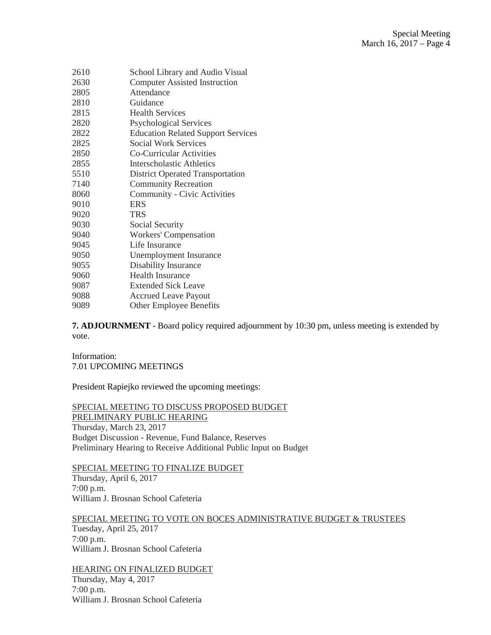| 2610 | School Library and Audio Visual           |
|------|-------------------------------------------|
| 2630 | <b>Computer Assisted Instruction</b>      |
| 2805 | Attendance                                |
| 2810 | Guidance                                  |
| 2815 | <b>Health Services</b>                    |
| 2820 | <b>Psychological Services</b>             |
| 2822 | <b>Education Related Support Services</b> |
| 2825 | <b>Social Work Services</b>               |
| 2850 | Co-Curricular Activities                  |
| 2855 | Interscholastic Athletics                 |
| 5510 | <b>District Operated Transportation</b>   |
| 7140 | <b>Community Recreation</b>               |
| 8060 | Community - Civic Activities              |
| 9010 | <b>ERS</b>                                |
| 9020 | <b>TRS</b>                                |
| 9030 | Social Security                           |
| 9040 | Workers' Compensation                     |
| 9045 | Life Insurance                            |
| 9050 | Unemployment Insurance                    |
| 9055 | Disability Insurance                      |
| 9060 | <b>Health Insurance</b>                   |
| 9087 | <b>Extended Sick Leave</b>                |
| 9088 | <b>Accrued Leave Payout</b>               |
| 9089 | <b>Other Employee Benefits</b>            |
|      |                                           |

**7. ADJOURNMENT** - Board policy required adjournment by 10:30 pm, unless meeting is extended by vote.

Information: 7.01 UPCOMING MEETINGS

President Rapiejko reviewed the upcoming meetings:

SPECIAL MEETING TO DISCUSS PROPOSED BUDGET PRELIMINARY PUBLIC HEARING Thursday, March 23, 2017 Budget Discussion - Revenue, Fund Balance, Reserves Preliminary Hearing to Receive Additional Public Input on Budget

SPECIAL MEETING TO FINALIZE BUDGET Thursday, April 6, 2017 7:00 p.m. William J. Brosnan School Cafeteria

SPECIAL MEETING TO VOTE ON BOCES ADMINISTRATIVE BUDGET & TRUSTEES Tuesday, April 25, 2017 7:00 p.m. William J. Brosnan School Cafeteria

HEARING ON FINALIZED BUDGET Thursday, May 4, 2017 7:00 p.m. William J. Brosnan School Cafeteria